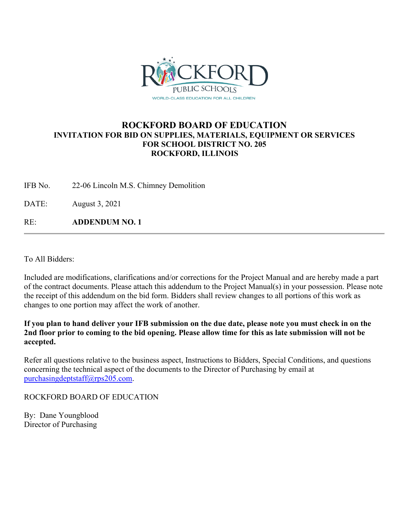

## **ROCKFORD BOARD OF EDUCATION INVITATION FOR BID ON SUPPLIES, MATERIALS, EQUIPMENT OR SERVICES FOR SCHOOL DISTRICT NO. 205 ROCKFORD, ILLINOIS**

IFB No. 22-06 Lincoln M.S. Chimney Demolition

DATE: August 3, 2021

RE: **ADDENDUM NO. 1**

To All Bidders:

Included are modifications, clarifications and/or corrections for the Project Manual and are hereby made a part of the contract documents. Please attach this addendum to the Project Manual(s) in your possession. Please note the receipt of this addendum on the bid form. Bidders shall review changes to all portions of this work as changes to one portion may affect the work of another.

**If you plan to hand deliver your IFB submission on the due date, please note you must check in on the 2nd floor prior to coming to the bid opening. Please allow time for this as late submission will not be accepted.**

Refer all questions relative to the business aspect, Instructions to Bidders, Special Conditions, and questions concerning the technical aspect of the documents to the Director of Purchasing by email at [purchasingdeptstaff@rps205.com.](mailto:purchasingdeptstaff@rps205.com)

ROCKFORD BOARD OF EDUCATION

By: Dane Youngblood Director of Purchasing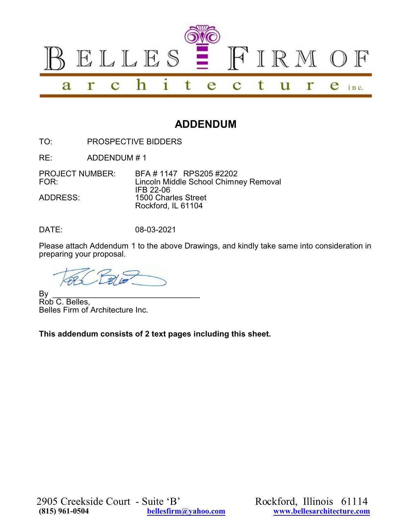

## **ADDENDUM**

TO: PROSPECTIVE BIDDERS

RE: ADDENDUM # 1

PROJECT NUMBER: BFA # 1147 RPS205 #2202<br>FOR: Lincoln Middle School Chimn Lincoln Middle School Chimney Removal IFB 22-06 ADDRESS: 1500 Charles Street Rockford, IL 61104

DATE: 08-03-2021

Please attach Addendum 1 to the above Drawings, and kindly take same into consideration in preparing your proposal.

By \_\_\_\_\_\_\_\_\_\_\_\_\_\_\_\_\_\_\_\_\_\_\_\_\_\_\_\_\_\_\_\_\_ Rob C. Belles, Belles Firm of Architecture Inc.

**This addendum consists of 2 text pages including this sheet.**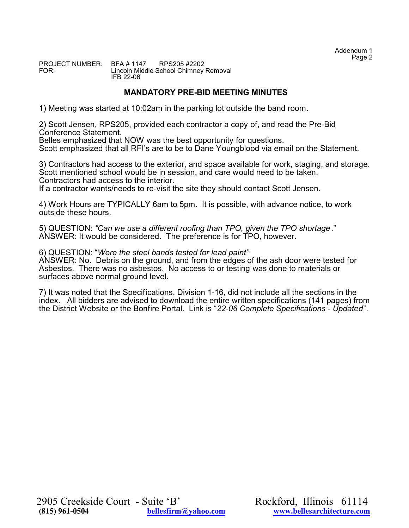PROJECT NUMBER: BFA # 1147 RPS205 #2202 Lincoln Middle School Chimney Removal IFB 22-06

## **MANDATORY PRE-BID MEETING MINUTES**

1) Meeting was started at 10:02am in the parking lot outside the band room.

2) Scott Jensen, RPS205, provided each contractor a copy of, and read the Pre-Bid Conference Statement.

Belles emphasized that NOW was the best opportunity for questions.

Scott emphasized that all RFI's are to be to Dane Youngblood via email on the Statement.

3) Contractors had access to the exterior, and space available for work, staging, and storage. Scott mentioned school would be in session, and care would need to be taken. Contractors had access to the interior.

If a contractor wants/needs to re-visit the site they should contact Scott Jensen.

4) Work Hours are TYPICALLY 6am to 5pm. It is possible, with advance notice, to work outside these hours.

5) QUESTION: *"Can we use a different roofing than TPO, given the TPO shortage*." ANSWER: It would be considered. The preference is for TPO, however.

6) QUESTION: "*Were the steel bands tested for lead paint"* ANSWER: No. Debris on the ground, and from the edges of the ash door were tested for Asbestos. There was no asbestos. No access to or testing was done to materials or surfaces above normal ground level.

7) It was noted that the Specifications, Division 1-16, did not include all the sections in the index. All bidders are advised to download the entire written specifications (141 pages) from the District Website or the Bonfire Portal. Link is "*22-06 Complete Specifications - Updated*".